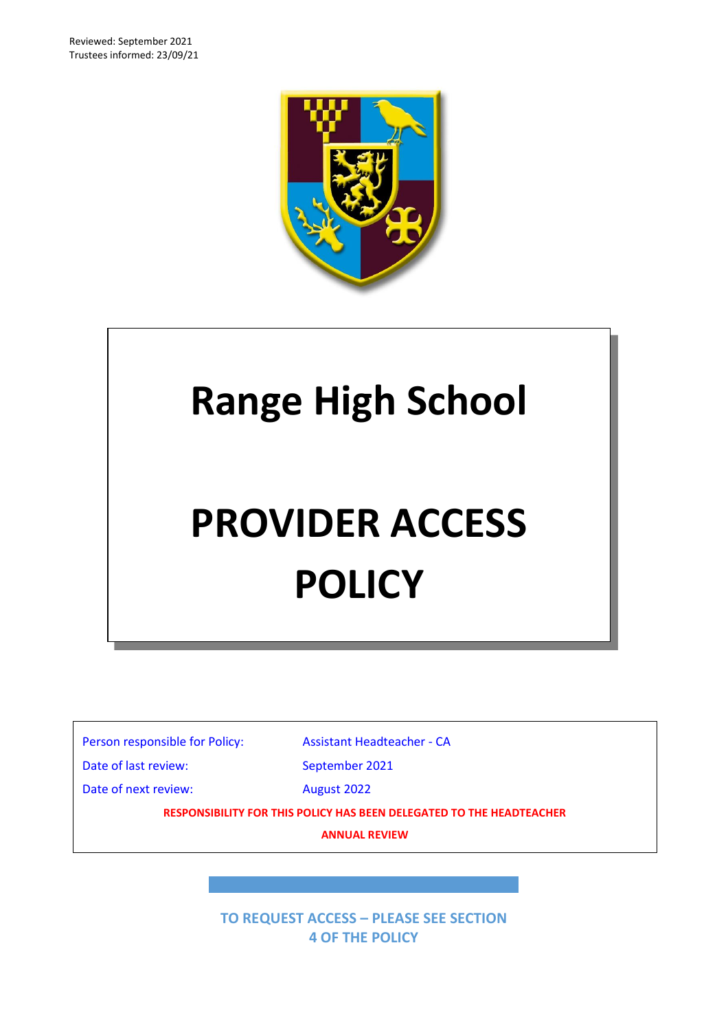Reviewed: September 2021 Trustees informed: 23/09/21



# **Range High School PROVIDER ACCESS POLICY**

Person responsible for Policy: Assistant Headteacher - CA

Date of last review: September 2021

Date of next review: August 2022

**RESPONSIBILITY FOR THIS POLICY HAS BEEN DELEGATED TO THE HEADTEACHER**

**ANNUAL REVIEW**

**TO REQUEST ACCESS – PLEASE SEE SECTION 4 OF THE POLICY**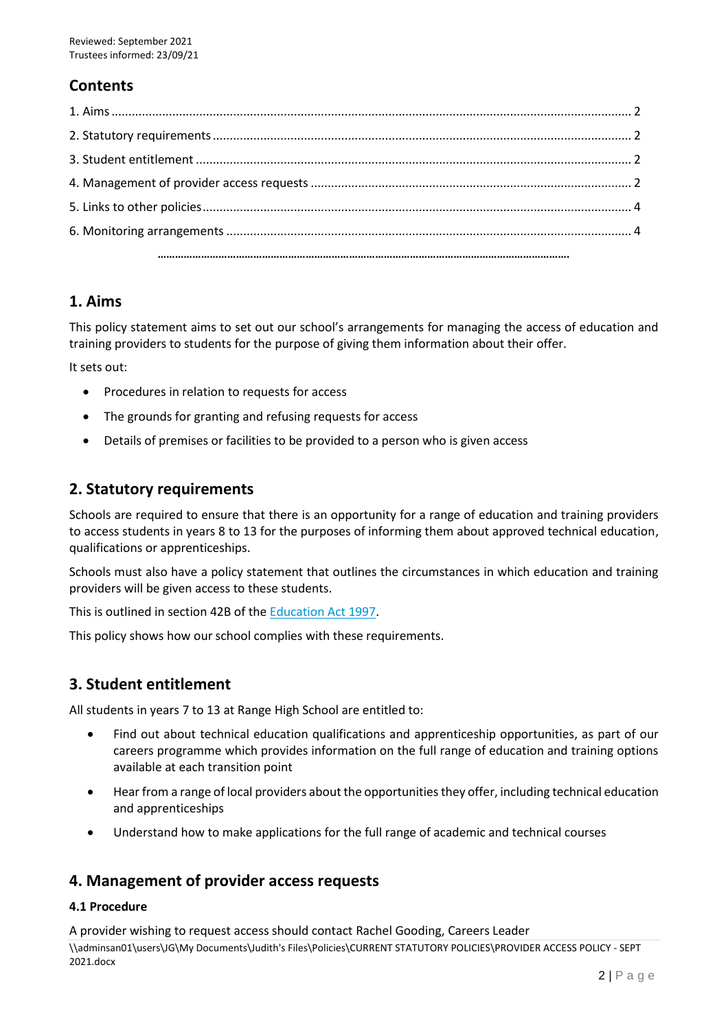# **Contents**

## <span id="page-1-0"></span>**1. Aims**

This policy statement aims to set out our school's arrangements for managing the access of education and training providers to students for the purpose of giving them information about their offer.

It sets out:

- Procedures in relation to requests for access
- The grounds for granting and refusing requests for access
- Details of premises or facilities to be provided to a person who is given access

## <span id="page-1-1"></span>**2. Statutory requirements**

Schools are required to ensure that there is an opportunity for a range of education and training providers to access students in years 8 to 13 for the purposes of informing them about approved technical education, qualifications or apprenticeships.

Schools must also have a policy statement that outlines the circumstances in which education and training providers will be given access to these students.

This is outlined in section 42B of th[e Education Act 1997.](https://www.legislation.gov.uk/ukpga/1997/44/section/42B)

<span id="page-1-2"></span>This policy shows how our school complies with these requirements.

## **3. Student entitlement**

All students in years 7 to 13 at Range High School are entitled to:

- Find out about technical education qualifications and apprenticeship opportunities, as part of our careers programme which provides information on the full range of education and training options available at each transition point
- Hear from a range of local providers about the opportunities they offer, including technical education and apprenticeships
- Understand how to make applications for the full range of academic and technical courses

## <span id="page-1-3"></span>**4. Management of provider access requests**

#### **4.1 Procedure**

\\adminsan01\users\JG\My Documents\Judith's Files\Policies\CURRENT STATUTORY POLICIES\PROVIDER ACCESS POLICY - SEPT 2021.docx A provider wishing to request access should contact Rachel Gooding, Careers Leader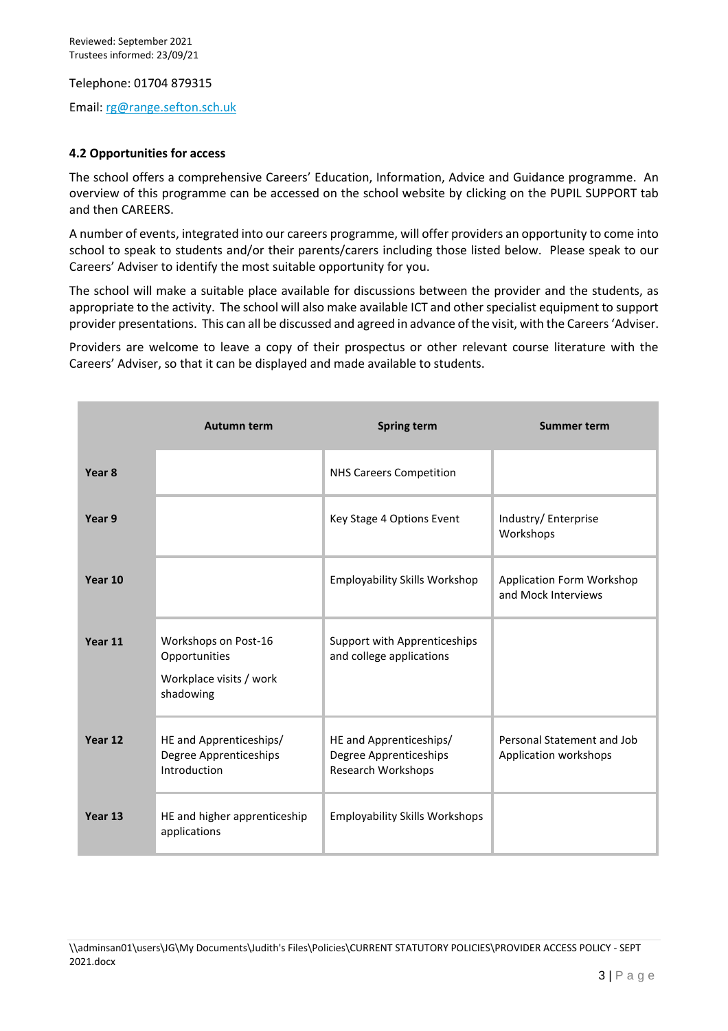Telephone: 01704 879315

Email[: rg@range.sefton.sch.uk](mailto:rg@range.sefton.sch.uk)

#### **4.2 Opportunities for access**

The school offers a comprehensive Careers' Education, Information, Advice and Guidance programme. An overview of this programme can be accessed on the school website by clicking on the PUPIL SUPPORT tab and then CAREERS.

A number of events, integrated into our careers programme, will offer providers an opportunity to come into school to speak to students and/or their parents/carers including those listed below. Please speak to our Careers' Adviser to identify the most suitable opportunity for you.

The school will make a suitable place available for discussions between the provider and the students, as appropriate to the activity. The school will also make available ICT and other specialist equipment to support provider presentations. This can all be discussed and agreed in advance of the visit, with the Careers 'Adviser.

Providers are welcome to leave a copy of their prospectus or other relevant course literature with the Careers' Adviser, so that it can be displayed and made available to students.

|                   | <b>Autumn term</b>                                                            | <b>Spring term</b>                                                             | <b>Summer term</b>                                  |
|-------------------|-------------------------------------------------------------------------------|--------------------------------------------------------------------------------|-----------------------------------------------------|
| Year <sub>8</sub> |                                                                               | <b>NHS Careers Competition</b>                                                 |                                                     |
| Year 9            |                                                                               | Key Stage 4 Options Event                                                      | Industry/Enterprise<br>Workshops                    |
| Year 10           |                                                                               | <b>Employability Skills Workshop</b>                                           | Application Form Workshop<br>and Mock Interviews    |
| Year 11           | Workshops on Post-16<br>Opportunities<br>Workplace visits / work<br>shadowing | Support with Apprenticeships<br>and college applications                       |                                                     |
| Year 12           | HE and Apprenticeships/<br>Degree Apprenticeships<br>Introduction             | HE and Apprenticeships/<br>Degree Apprenticeships<br><b>Research Workshops</b> | Personal Statement and Job<br>Application workshops |
| Year 13           | HE and higher apprenticeship<br>applications                                  | <b>Employability Skills Workshops</b>                                          |                                                     |